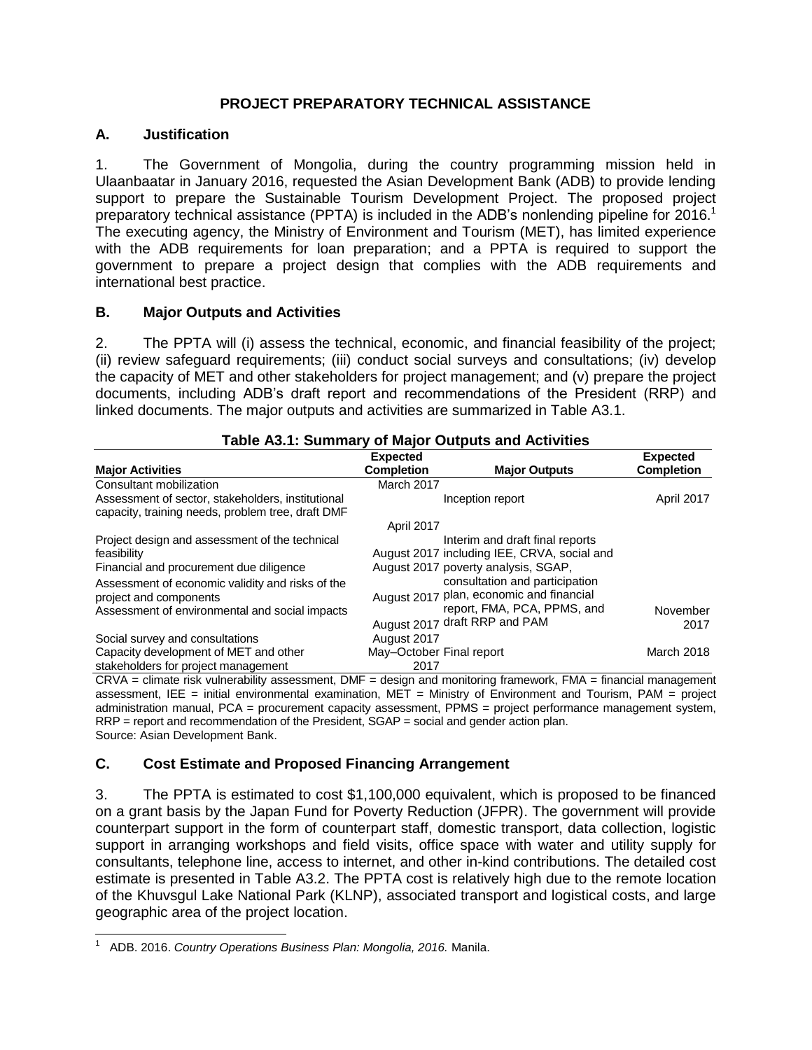## **PROJECT PREPARATORY TECHNICAL ASSISTANCE**

### **A. Justification**

1. The Government of Mongolia, during the country programming mission held in Ulaanbaatar in January 2016, requested the Asian Development Bank (ADB) to provide lending support to prepare the Sustainable Tourism Development Project. The proposed project preparatory technical assistance (PPTA) is included in the ADB's nonlending pipeline for 2016.<sup>1</sup> The executing agency, the Ministry of Environment and Tourism (MET), has limited experience with the ADB requirements for loan preparation; and a PPTA is required to support the government to prepare a project design that complies with the ADB requirements and international best practice.

## **B. Major Outputs and Activities**

2. The PPTA will (i) assess the technical, economic, and financial feasibility of the project; (ii) review safeguard requirements; (iii) conduct social surveys and consultations; (iv) develop the capacity of MET and other stakeholders for project management; and (v) prepare the project documents, including ADB's draft report and recommendations of the President (RRP) and linked documents. The major outputs and activities are summarized in Table A3.1.

| <b>Major Activities</b>                                                                                                      | <b>Expected</b><br><b>Completion</b> | <b>Major Outputs</b>                                                                                                                       | <b>Expected</b><br><b>Completion</b> |
|------------------------------------------------------------------------------------------------------------------------------|--------------------------------------|--------------------------------------------------------------------------------------------------------------------------------------------|--------------------------------------|
| Consultant mobilization                                                                                                      | March 2017                           |                                                                                                                                            |                                      |
| Assessment of sector, stakeholders, institutional<br>capacity, training needs, problem tree, draft DMF                       |                                      | Inception report                                                                                                                           | April 2017                           |
|                                                                                                                              | April 2017                           |                                                                                                                                            |                                      |
| Project design and assessment of the technical<br>feasibility<br>Financial and procurement due diligence                     |                                      | Interim and draft final reports<br>August 2017 including IEE, CRVA, social and<br>August 2017 poverty analysis, SGAP,                      |                                      |
| Assessment of economic validity and risks of the<br>project and components<br>Assessment of environmental and social impacts |                                      | consultation and participation<br>August 2017 plan, economic and financial<br>report, FMA, PCA, PPMS, and<br>August 2017 draft RRP and PAM | November<br>2017                     |
| Social survey and consultations                                                                                              | August 2017                          |                                                                                                                                            |                                      |
| Capacity development of MET and other<br>stakeholders for project management                                                 | May-October Final report<br>2017     |                                                                                                                                            | March 2018                           |

#### **Table A3.1: Summary of Major Outputs and Activities**

CRVA = climate risk vulnerability assessment, DMF = design and monitoring framework, FMA = financial management assessment, IEE = initial environmental examination, MET = Ministry of Environment and Tourism, PAM = project administration manual, PCA = procurement capacity assessment, PPMS = project performance management system, RRP = report and recommendation of the President, SGAP = social and gender action plan. Source: Asian Development Bank.

# **C. Cost Estimate and Proposed Financing Arrangement**

3. The PPTA is estimated to cost \$1,100,000 equivalent, which is proposed to be financed on a grant basis by the Japan Fund for Poverty Reduction (JFPR). The government will provide counterpart support in the form of counterpart staff, domestic transport, data collection, logistic support in arranging workshops and field visits, office space with water and utility supply for consultants, telephone line, access to internet, and other in-kind contributions. The detailed cost estimate is presented in Table A3.2. The PPTA cost is relatively high due to the remote location of the Khuvsgul Lake National Park (KLNP), associated transport and logistical costs, and large geographic area of the project location.

 1 ADB. 2016. *Country Operations Business Plan: Mongolia, 2016.* Manila.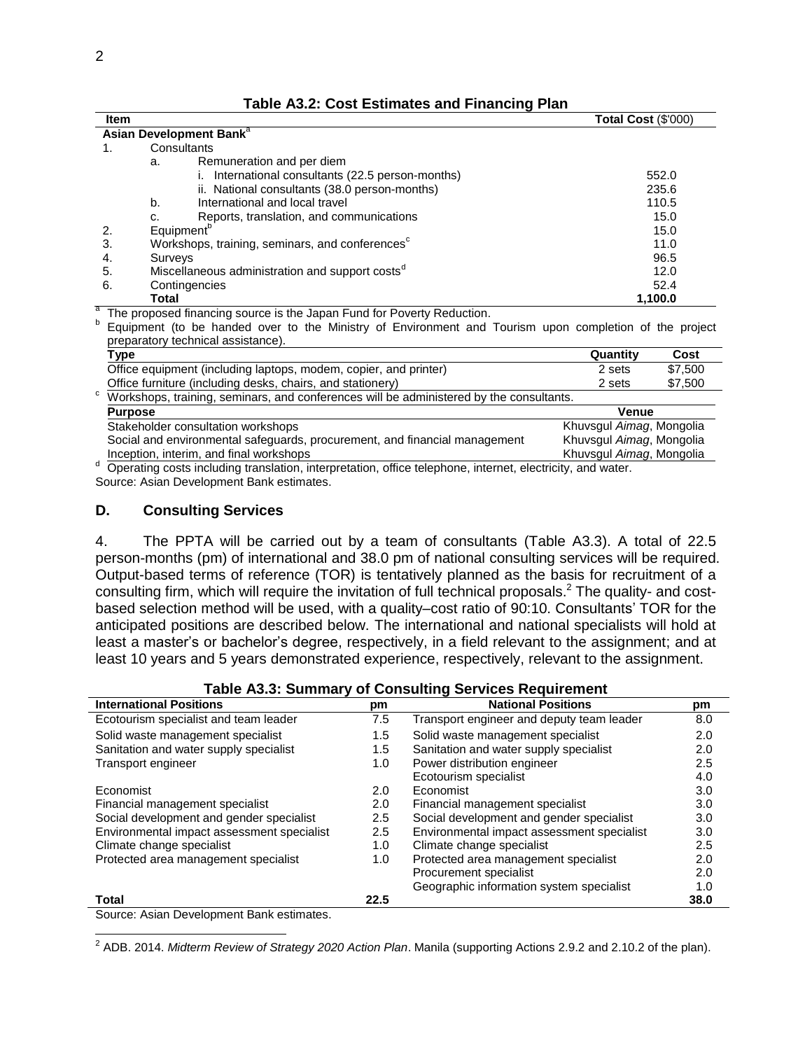|  |  | Table A3.2: Cost Estimates and Financing Plan |  |  |  |
|--|--|-----------------------------------------------|--|--|--|
|--|--|-----------------------------------------------|--|--|--|

| <b>Item</b> |              |                                                             | Total Cost (\$'000) |
|-------------|--------------|-------------------------------------------------------------|---------------------|
|             |              | Asian Development Bank <sup>a</sup>                         |                     |
| 1.          |              | Consultants                                                 |                     |
|             | а.           | Remuneration and per diem                                   |                     |
|             |              | i. International consultants (22.5 person-months)           | 552.0               |
|             |              | ii. National consultants (38.0 person-months)               | 235.6               |
|             | b.           | International and local travel                              | 110.5               |
|             | c.           | Reports, translation, and communications                    | 15.0                |
|             |              | Equipment <sup>o</sup>                                      | 15.0                |
| 3.          |              | Workshops, training, seminars, and conferences <sup>c</sup> | 11.0                |
| 4.          | Surveys      |                                                             | 96.5                |
| 5.          |              | Miscellaneous administration and support costs <sup>d</sup> | 12.0                |
| 6.          |              | Contingencies                                               | 52.4                |
|             | <b>Total</b> |                                                             | 1,100.0             |

a The proposed financing source is the Japan Fund for Poverty Reduction.

b Equipment (to be handed over to the Ministry of Environment and Tourism upon completion of the project preparatory technical assistance).

| Type                                                                                                              | Quantity                 | Cost    |
|-------------------------------------------------------------------------------------------------------------------|--------------------------|---------|
| Office equipment (including laptops, modem, copier, and printer)                                                  | 2 sets                   | \$7.500 |
| Office furniture (including desks, chairs, and stationery)                                                        | 2 sets                   | \$7,500 |
| c Workshops, training, seminars, and conferences will be administered by the consultants.                         |                          |         |
| <b>Purpose</b>                                                                                                    | Venue                    |         |
| Stakeholder consultation workshops                                                                                | Khuvsqul Aimag, Mongolia |         |
| Social and environmental safeguards, procurement, and financial management                                        | Khuvsgul Aimag, Mongolia |         |
| Inception, interim, and final workshops                                                                           | Khuvsgul Aimag, Mongolia |         |
| <sup>d</sup> Operating costs including translation interpretation office telephone internet electricity and water |                          |         |

<sup>d</sup> Operating costs including translation, interpretation, office telephone, internet, electricity, and water. Source: Asian Development Bank estimates.

#### **D. Consulting Services**

4. The PPTA will be carried out by a team of consultants (Table A3.3). A total of 22.5 person-months (pm) of international and 38.0 pm of national consulting services will be required. Output-based terms of reference (TOR) is tentatively planned as the basis for recruitment of a consulting firm, which will require the invitation of full technical proposals.<sup>2</sup> The quality- and costbased selection method will be used, with a quality–cost ratio of 90:10. Consultants' TOR for the anticipated positions are described below. The international and national specialists will hold at least a master's or bachelor's degree, respectively, in a field relevant to the assignment; and at least 10 years and 5 years demonstrated experience, respectively, relevant to the assignment.

| rapic Adid. Ourinnary or Odnouring Ocryloca Requirement |         |                                            |      |  |
|---------------------------------------------------------|---------|--------------------------------------------|------|--|
| <b>International Positions</b>                          | pm      | <b>National Positions</b>                  | pm   |  |
| Ecotourism specialist and team leader                   | 7.5     | Transport engineer and deputy team leader  | 8.0  |  |
| Solid waste management specialist                       | 1.5     | Solid waste management specialist          | 2.0  |  |
| Sanitation and water supply specialist                  | 1.5     | Sanitation and water supply specialist     | 2.0  |  |
| Transport engineer                                      | 1.0     | Power distribution engineer                | 2.5  |  |
|                                                         |         | Ecotourism specialist                      | 4.0  |  |
| Economist                                               | 2.0     | Economist                                  | 3.0  |  |
| Financial management specialist                         | 2.0     | Financial management specialist            | 3.0  |  |
| Social development and gender specialist                | 2.5     | Social development and gender specialist   | 3.0  |  |
| Environmental impact assessment specialist              | $2.5\,$ | Environmental impact assessment specialist | 3.0  |  |
| Climate change specialist                               | 1.0     | Climate change specialist                  | 2.5  |  |
| Protected area management specialist                    | 1.0     | Protected area management specialist       | 2.0  |  |
|                                                         |         | Procurement specialist                     | 2.0  |  |
|                                                         |         | Geographic information system specialist   | 1.0  |  |
| Total                                                   | 22.5    |                                            | 38.0 |  |
| $\sim$ $\sim$ $\sim$ $\sim$ $\sim$<br>$\sim$<br>$\sim$  |         |                                            |      |  |

**Table A3.3: Summary of Consulting Services Requirement**

Source: Asian Development Bank estimates.

2 ADB. 2014. *Midterm Review of Strategy 2020 Action Plan*. Manila (supporting Actions 2.9.2 and 2.10.2 of the plan).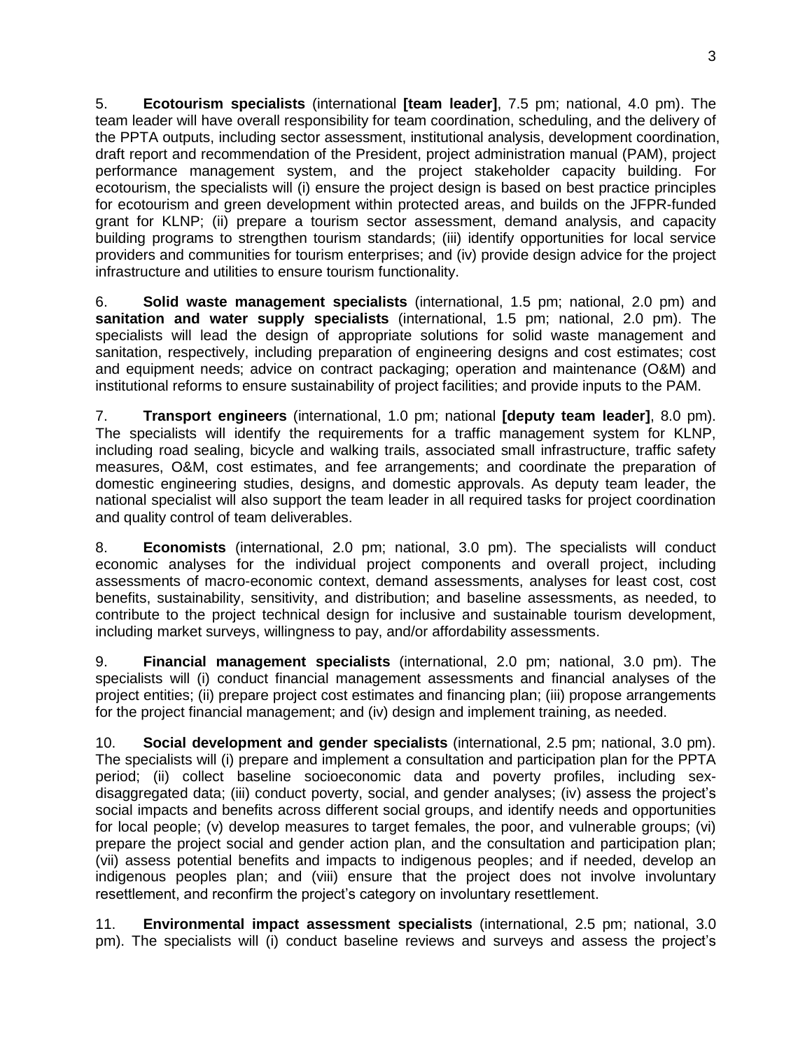5. **Ecotourism specialists** (international **[team leader]**, 7.5 pm; national, 4.0 pm). The team leader will have overall responsibility for team coordination, scheduling, and the delivery of the PPTA outputs, including sector assessment, institutional analysis, development coordination, draft report and recommendation of the President, project administration manual (PAM), project performance management system, and the project stakeholder capacity building. For ecotourism, the specialists will (i) ensure the project design is based on best practice principles for ecotourism and green development within protected areas, and builds on the JFPR-funded grant for KLNP; (ii) prepare a tourism sector assessment, demand analysis, and capacity building programs to strengthen tourism standards; (iii) identify opportunities for local service providers and communities for tourism enterprises; and (iv) provide design advice for the project infrastructure and utilities to ensure tourism functionality.

6. **Solid waste management specialists** (international, 1.5 pm; national, 2.0 pm) and **sanitation and water supply specialists** (international, 1.5 pm; national, 2.0 pm). The specialists will lead the design of appropriate solutions for solid waste management and sanitation, respectively, including preparation of engineering designs and cost estimates; cost and equipment needs; advice on contract packaging; operation and maintenance (O&M) and institutional reforms to ensure sustainability of project facilities; and provide inputs to the PAM.

7. **Transport engineers** (international, 1.0 pm; national **[deputy team leader]**, 8.0 pm). The specialists will identify the requirements for a traffic management system for KLNP, including road sealing, bicycle and walking trails, associated small infrastructure, traffic safety measures, O&M, cost estimates, and fee arrangements; and coordinate the preparation of domestic engineering studies, designs, and domestic approvals. As deputy team leader, the national specialist will also support the team leader in all required tasks for project coordination and quality control of team deliverables.

8. **Economists** (international, 2.0 pm; national, 3.0 pm). The specialists will conduct economic analyses for the individual project components and overall project, including assessments of macro-economic context, demand assessments, analyses for least cost, cost benefits, sustainability, sensitivity, and distribution; and baseline assessments, as needed, to contribute to the project technical design for inclusive and sustainable tourism development, including market surveys, willingness to pay, and/or affordability assessments.

9. **Financial management specialists** (international, 2.0 pm; national, 3.0 pm). The specialists will (i) conduct financial management assessments and financial analyses of the project entities; (ii) prepare project cost estimates and financing plan; (iii) propose arrangements for the project financial management; and (iv) design and implement training, as needed.

10. **Social development and gender specialists** (international, 2.5 pm; national, 3.0 pm). The specialists will (i) prepare and implement a consultation and participation plan for the PPTA period; (ii) collect baseline socioeconomic data and poverty profiles, including sexdisaggregated data; (iii) conduct poverty, social, and gender analyses; (iv) assess the project's social impacts and benefits across different social groups, and identify needs and opportunities for local people; (v) develop measures to target females, the poor, and vulnerable groups; (vi) prepare the project social and gender action plan, and the consultation and participation plan; (vii) assess potential benefits and impacts to indigenous peoples; and if needed, develop an indigenous peoples plan; and (viii) ensure that the project does not involve involuntary resettlement, and reconfirm the project's category on involuntary resettlement.

11. **Environmental impact assessment specialists** (international, 2.5 pm; national, 3.0 pm). The specialists will (i) conduct baseline reviews and surveys and assess the project's